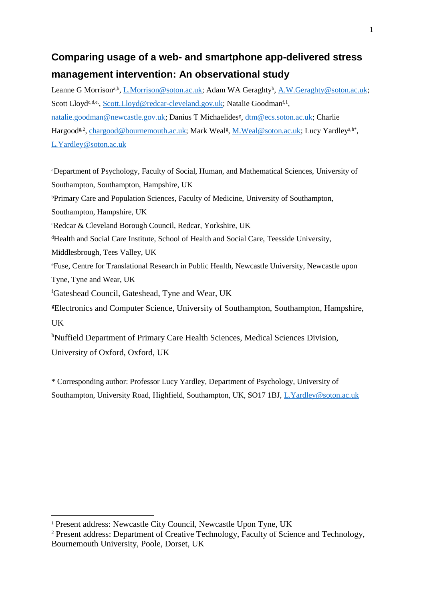# **Comparing usage of a web- and smartphone app-delivered stress management intervention: An observational study**

Leanne G Morrison<sup>a,b</sup>, *L.Morrison@soton.ac.uk*; Adam WA Geraghty<sup>b</sup>, **A.W.Geraghty@soton.ac.uk**; Scott Lloyd<sup>c,d,e</sup>, [Scott.Lloyd@redcar-cleveland.gov.uk;](mailto:Scott.Lloyd@redcar-cleveland.gov.uk) Natalie Goodman<sup>f, 1</sup>, [natalie.goodman@newcastle.gov.uk;](mailto:natalie.goodman@newcastle.gov.uk) Danius T Michaelides<sup>g</sup>, [dtm@ecs.soton.ac.uk;](mailto:dtm@ecs.soton.ac.uk) Charlie Hargood<sup>g,2</sup>[, chargood@bournemouth.ac.uk;](mailto:chargood@bournemouth.ac.uk) Mark Weal<sup>g</sup>, [M.Weal@soton.ac.uk;](mailto:M.Weal@soton.ac.uk) Lucy Yardley<sup>a,h\*</sup>, [L.Yardley@soton.ac.uk](mailto:L.Yardley@soton.ac.uk)

<sup>a</sup>Department of Psychology, Faculty of Social, Human, and Mathematical Sciences, University of Southampton, Southampton, Hampshire, UK <sup>b</sup>Primary Care and Population Sciences, Faculty of Medicine, University of Southampton, Southampton, Hampshire, UK <sup>c</sup>Redcar & Cleveland Borough Council, Redcar, Yorkshire, UK <sup>d</sup>Health and Social Care Institute, School of Health and Social Care, Teesside University, Middlesbrough, Tees Valley, UK <sup>e</sup>Fuse, Centre for Translational Research in Public Health, Newcastle University, Newcastle upon Tyne, Tyne and Wear, UK <sup>f</sup>Gateshead Council, Gateshead, Tyne and Wear, UK <sup>g</sup>Electronics and Computer Science, University of Southampton, Southampton, Hampshire, UK <sup>h</sup>Nuffield Department of Primary Care Health Sciences, Medical Sciences Division, University of Oxford, Oxford, UK

\* Corresponding author: Professor Lucy Yardley, Department of Psychology, University of Southampton, University Road, Highfield, Southampton, UK, SO17 1BJ, [L.Yardley@soton.ac.uk](mailto:L.Yardley@soton.ac.uk)

1

<sup>1</sup> Present address: Newcastle City Council, Newcastle Upon Tyne, UK

<sup>2</sup> Present address: Department of Creative Technology, Faculty of Science and Technology, Bournemouth University, Poole, Dorset, UK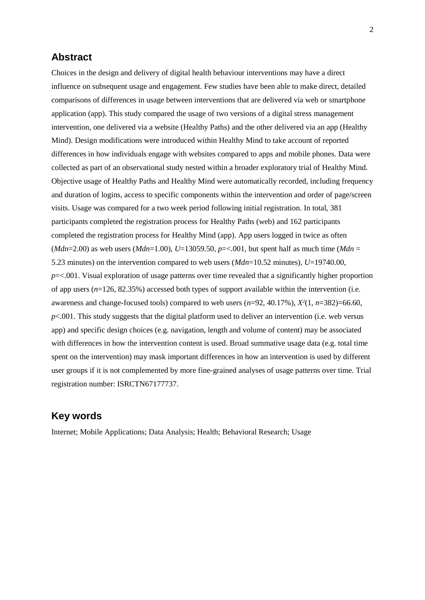## **Abstract**

Choices in the design and delivery of digital health behaviour interventions may have a direct influence on subsequent usage and engagement. Few studies have been able to make direct, detailed comparisons of differences in usage between interventions that are delivered via web or smartphone application (app). This study compared the usage of two versions of a digital stress management intervention, one delivered via a website (Healthy Paths) and the other delivered via an app (Healthy Mind). Design modifications were introduced within Healthy Mind to take account of reported differences in how individuals engage with websites compared to apps and mobile phones. Data were collected as part of an observational study nested within a broader exploratory trial of Healthy Mind. Objective usage of Healthy Paths and Healthy Mind were automatically recorded, including frequency and duration of logins, access to specific components within the intervention and order of page/screen visits. Usage was compared for a two week period following initial registration. In total, 381 participants completed the registration process for Healthy Paths (web) and 162 participants completed the registration process for Healthy Mind (app). App users logged in twice as often (*Mdn*=2.00) as web users (*Mdn*=1.00), *U*=13059.50, *p*=<.001, but spent half as much time (*Mdn* = 5.23 minutes) on the intervention compared to web users (*Mdn*=10.52 minutes), *U*=19740.00, *p*=<.001. Visual exploration of usage patterns over time revealed that a significantly higher proportion of app users (*n*=126, 82.35%) accessed both types of support available within the intervention (i.e. awareness and change-focused tools) compared to web users  $(n=92, 40.17\%)$ ,  $X^2(1, n=382)=66.60$ ,  $p$ <.001. This study suggests that the digital platform used to deliver an intervention (i.e. web versus app) and specific design choices (e.g. navigation, length and volume of content) may be associated with differences in how the intervention content is used. Broad summative usage data (e.g. total time spent on the intervention) may mask important differences in how an intervention is used by different user groups if it is not complemented by more fine-grained analyses of usage patterns over time. Trial registration number: ISRCTN67177737.

# **Key words**

Internet; Mobile Applications; Data Analysis; Health; Behavioral Research; Usage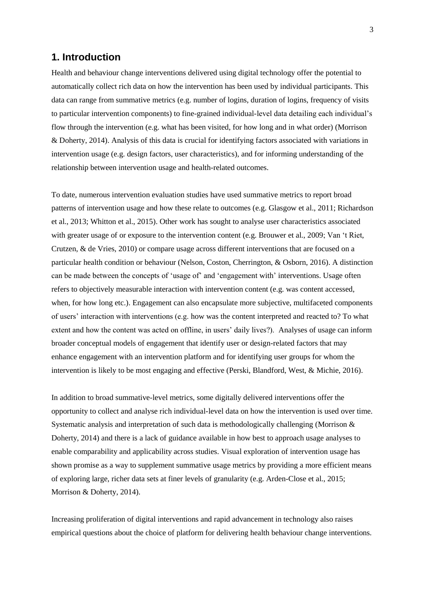# **1. Introduction**

Health and behaviour change interventions delivered using digital technology offer the potential to automatically collect rich data on how the intervention has been used by individual participants. This data can range from summative metrics (e.g. number of logins, duration of logins, frequency of visits to particular intervention components) to fine-grained individual-level data detailing each individual's flow through the intervention (e.g. what has been visited, for how long and in what order) (Morrison & Doherty, 2014). Analysis of this data is crucial for identifying factors associated with variations in intervention usage (e.g. design factors, user characteristics), and for informing understanding of the relationship between intervention usage and health-related outcomes.

To date, numerous intervention evaluation studies have used summative metrics to report broad patterns of intervention usage and how these relate to outcomes (e.g. Glasgow et al., 2011; Richardson et al., 2013; Whitton et al., 2015). Other work has sought to analyse user characteristics associated with greater usage of or exposure to the intervention content (e.g. Brouwer et al., 2009; Van 't Riet, Crutzen, & de Vries, 2010) or compare usage across different interventions that are focused on a particular health condition or behaviour (Nelson, Coston, Cherrington, & Osborn, 2016). A distinction can be made between the concepts of 'usage of' and 'engagement with' interventions. Usage often refers to objectively measurable interaction with intervention content (e.g. was content accessed, when, for how long etc.). Engagement can also encapsulate more subjective, multifaceted components of users' interaction with interventions (e.g. how was the content interpreted and reacted to? To what extent and how the content was acted on offline, in users' daily lives?). Analyses of usage can inform broader conceptual models of engagement that identify user or design-related factors that may enhance engagement with an intervention platform and for identifying user groups for whom the intervention is likely to be most engaging and effective (Perski, Blandford, West, & Michie, 2016).

In addition to broad summative-level metrics, some digitally delivered interventions offer the opportunity to collect and analyse rich individual-level data on how the intervention is used over time. Systematic analysis and interpretation of such data is methodologically challenging (Morrison & Doherty, 2014) and there is a lack of guidance available in how best to approach usage analyses to enable comparability and applicability across studies. Visual exploration of intervention usage has shown promise as a way to supplement summative usage metrics by providing a more efficient means of exploring large, richer data sets at finer levels of granularity (e.g. Arden-Close et al., 2015; Morrison & Doherty, 2014).

Increasing proliferation of digital interventions and rapid advancement in technology also raises empirical questions about the choice of platform for delivering health behaviour change interventions.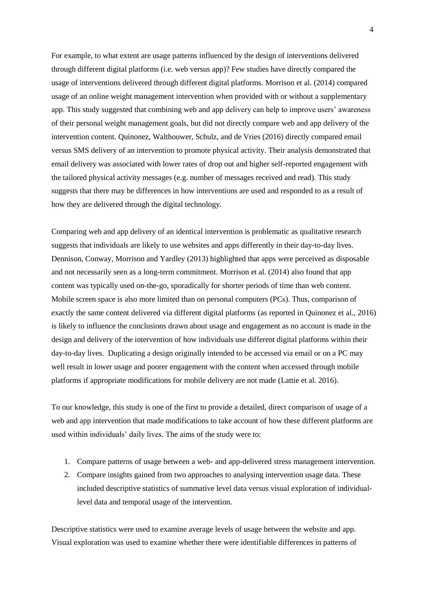For example, to what extent are usage patterns influenced by the design of interventions delivered through different digital platforms (i.e. web versus app)? Few studies have directly compared the usage of interventions delivered through different digital platforms. Morrison et al. (2014) compared usage of an online weight management intervention when provided with or without a supplementary app. This study suggested that combining web and app delivery can help to improve users' awareness of their personal weight management goals, but did not directly compare web and app delivery of the intervention content. Quinonez, Walthouwer, Schulz, and de Vries (2016) directly compared email versus SMS delivery of an intervention to promote physical activity. Their analysis demonstrated that email delivery was associated with lower rates of drop out and higher self-reported engagement with the tailored physical activity messages (e.g. number of messages received and read). This study suggests that there may be differences in how interventions are used and responded to as a result of how they are delivered through the digital technology.

Comparing web and app delivery of an identical intervention is problematic as qualitative research suggests that individuals are likely to use websites and apps differently in their day-to-day lives. Dennison, Conway, Morrison and Yardley (2013) highlighted that apps were perceived as disposable and not necessarily seen as a long-term commitment. Morrison et al. (2014) also found that app content was typically used on-the-go, sporadically for shorter periods of time than web content. Mobile screen space is also more limited than on personal computers (PCs). Thus, comparison of exactly the same content delivered via different digital platforms (as reported in Quinonez et al., 2016) is likely to influence the conclusions drawn about usage and engagement as no account is made in the design and delivery of the intervention of how individuals use different digital platforms within their day-to-day lives. Duplicating a design originally intended to be accessed via email or on a PC may well result in lower usage and poorer engagement with the content when accessed through mobile platforms if appropriate modifications for mobile delivery are not made (Lattie et al. 2016).

To our knowledge, this study is one of the first to provide a detailed, direct comparison of usage of a web and app intervention that made modifications to take account of how these different platforms are used within individuals' daily lives. The aims of the study were to:

- 1. Compare patterns of usage between a web- and app-delivered stress management intervention.
- 2. Compare insights gained from two approaches to analysing intervention usage data. These included descriptive statistics of summative level data versus visual exploration of individuallevel data and temporal usage of the intervention.

Descriptive statistics were used to examine average levels of usage between the website and app. Visual exploration was used to examine whether there were identifiable differences in patterns of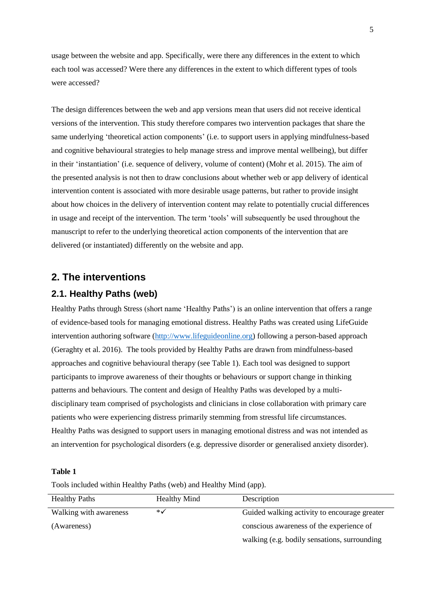usage between the website and app. Specifically, were there any differences in the extent to which each tool was accessed? Were there any differences in the extent to which different types of tools were accessed?

The design differences between the web and app versions mean that users did not receive identical versions of the intervention. This study therefore compares two intervention packages that share the same underlying 'theoretical action components' (i.e. to support users in applying mindfulness-based and cognitive behavioural strategies to help manage stress and improve mental wellbeing), but differ in their 'instantiation' (i.e. sequence of delivery, volume of content) (Mohr et al. 2015). The aim of the presented analysis is not then to draw conclusions about whether web or app delivery of identical intervention content is associated with more desirable usage patterns, but rather to provide insight about how choices in the delivery of intervention content may relate to potentially crucial differences in usage and receipt of the intervention. The term 'tools' will subsequently be used throughout the manuscript to refer to the underlying theoretical action components of the intervention that are delivered (or instantiated) differently on the website and app.

# **2. The interventions**

# **2.1. Healthy Paths (web)**

Healthy Paths through Stress (short name 'Healthy Paths') is an online intervention that offers a range of evidence-based tools for managing emotional distress. Healthy Paths was created using LifeGuide intervention authoring software [\(http://www.lifeguideonline.org\)](http://www.lifeguideonline.org/) following a person-based approach (Geraghty et al. 2016). The tools provided by Healthy Paths are drawn from mindfulness-based approaches and cognitive behavioural therapy (see Table 1). Each tool was designed to support participants to improve awareness of their thoughts or behaviours or support change in thinking patterns and behaviours. The content and design of Healthy Paths was developed by a multidisciplinary team comprised of psychologists and clinicians in close collaboration with primary care patients who were experiencing distress primarily stemming from stressful life circumstances. Healthy Paths was designed to support users in managing emotional distress and was not intended as an intervention for psychological disorders (e.g. depressive disorder or generalised anxiety disorder).

#### **Table 1**

Tools included within Healthy Paths (web) and Healthy Mind (app).

| <b>Healthy Paths</b>   | <b>Healthy Mind</b> | Description                                  |
|------------------------|---------------------|----------------------------------------------|
| Walking with awareness | ∗√                  | Guided walking activity to encourage greater |
| (Awareness)            |                     | conscious awareness of the experience of     |
|                        |                     | walking (e.g. bodily sensations, surrounding |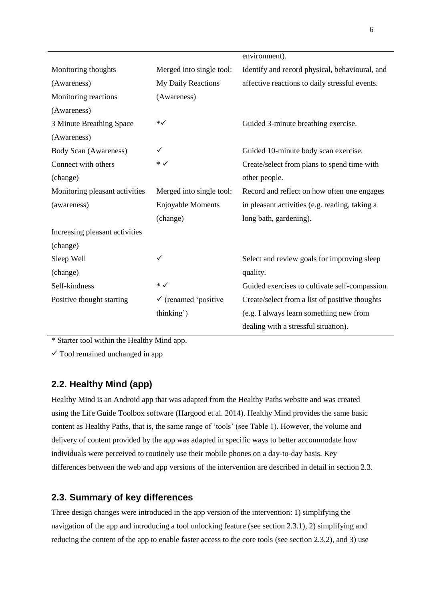|                                |                                 | environment).                                  |
|--------------------------------|---------------------------------|------------------------------------------------|
| Monitoring thoughts            | Merged into single tool:        | Identify and record physical, behavioural, and |
| (Awareness)                    | My Daily Reactions              | affective reactions to daily stressful events. |
| Monitoring reactions           | (Awareness)                     |                                                |
| (Awareness)                    |                                 |                                                |
| 3 Minute Breathing Space       | ∗√                              | Guided 3-minute breathing exercise.            |
| (Awareness)                    |                                 |                                                |
| <b>Body Scan (Awareness)</b>   | ✓                               | Guided 10-minute body scan exercise.           |
| Connect with others            | ∗√                              | Create/select from plans to spend time with    |
| (change)                       |                                 | other people.                                  |
| Monitoring pleasant activities | Merged into single tool:        | Record and reflect on how often one engages    |
| (awareness)                    | <b>Enjoyable Moments</b>        | in pleasant activities (e.g. reading, taking a |
|                                | (change)                        | long bath, gardening).                         |
| Increasing pleasant activities |                                 |                                                |
| (change)                       |                                 |                                                |
| Sleep Well                     | ✓                               | Select and review goals for improving sleep    |
| (change)                       |                                 | quality.                                       |
| Self-kindness                  | $\ast \checkmark$               | Guided exercises to cultivate self-compassion. |
| Positive thought starting      | $\checkmark$ (renamed 'positive | Create/select from a list of positive thoughts |
|                                | thinking')                      | (e.g. I always learn something new from        |
|                                |                                 | dealing with a stressful situation).           |

\* Starter tool within the Healthy Mind app.

 $\checkmark$  Tool remained unchanged in app

# **2.2. Healthy Mind (app)**

Healthy Mind is an Android app that was adapted from the Healthy Paths website and was created using the Life Guide Toolbox software (Hargood et al. 2014). Healthy Mind provides the same basic content as Healthy Paths, that is, the same range of 'tools' (see Table 1). However, the volume and delivery of content provided by the app was adapted in specific ways to better accommodate how individuals were perceived to routinely use their mobile phones on a day-to-day basis. Key differences between the web and app versions of the intervention are described in detail in section 2.3.

# **2.3. Summary of key differences**

Three design changes were introduced in the app version of the intervention: 1) simplifying the navigation of the app and introducing a tool unlocking feature (see section 2.3.1), 2) simplifying and reducing the content of the app to enable faster access to the core tools (see section 2.3.2), and 3) use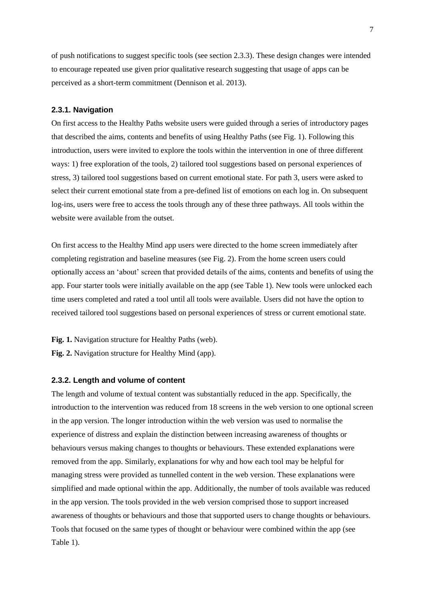of push notifications to suggest specific tools (see section 2.3.3). These design changes were intended to encourage repeated use given prior qualitative research suggesting that usage of apps can be perceived as a short-term commitment (Dennison et al. 2013).

#### **2.3.1. Navigation**

On first access to the Healthy Paths website users were guided through a series of introductory pages that described the aims, contents and benefits of using Healthy Paths (see Fig. 1). Following this introduction, users were invited to explore the tools within the intervention in one of three different ways: 1) free exploration of the tools, 2) tailored tool suggestions based on personal experiences of stress, 3) tailored tool suggestions based on current emotional state. For path 3, users were asked to select their current emotional state from a pre-defined list of emotions on each log in. On subsequent log-ins, users were free to access the tools through any of these three pathways. All tools within the website were available from the outset.

On first access to the Healthy Mind app users were directed to the home screen immediately after completing registration and baseline measures (see Fig. 2). From the home screen users could optionally access an 'about' screen that provided details of the aims, contents and benefits of using the app. Four starter tools were initially available on the app (see Table 1). New tools were unlocked each time users completed and rated a tool until all tools were available. Users did not have the option to received tailored tool suggestions based on personal experiences of stress or current emotional state.

**Fig. 1.** Navigation structure for Healthy Paths (web).

**Fig. 2.** Navigation structure for Healthy Mind (app).

#### **2.3.2. Length and volume of content**

The length and volume of textual content was substantially reduced in the app. Specifically, the introduction to the intervention was reduced from 18 screens in the web version to one optional screen in the app version. The longer introduction within the web version was used to normalise the experience of distress and explain the distinction between increasing awareness of thoughts or behaviours versus making changes to thoughts or behaviours. These extended explanations were removed from the app. Similarly, explanations for why and how each tool may be helpful for managing stress were provided as tunnelled content in the web version. These explanations were simplified and made optional within the app. Additionally, the number of tools available was reduced in the app version. The tools provided in the web version comprised those to support increased awareness of thoughts or behaviours and those that supported users to change thoughts or behaviours. Tools that focused on the same types of thought or behaviour were combined within the app (see Table 1).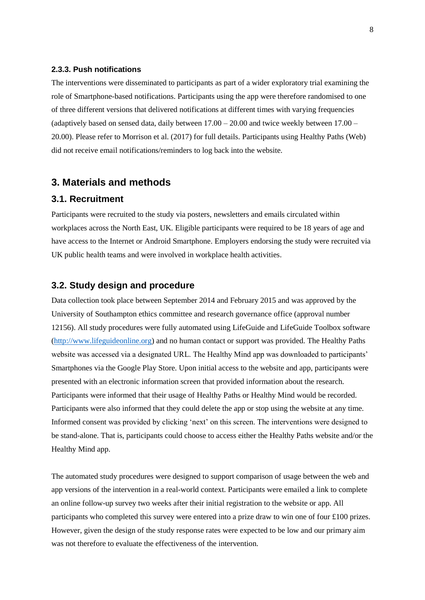#### **2.3.3. Push notifications**

The interventions were disseminated to participants as part of a wider exploratory trial examining the role of Smartphone-based notifications. Participants using the app were therefore randomised to one of three different versions that delivered notifications at different times with varying frequencies (adaptively based on sensed data, daily between  $17.00 - 20.00$  and twice weekly between  $17.00 -$ 20.00). Please refer to Morrison et al. (2017) for full details. Participants using Healthy Paths (Web) did not receive email notifications/reminders to log back into the website.

## **3. Materials and methods**

## **3.1. Recruitment**

Participants were recruited to the study via posters, newsletters and emails circulated within workplaces across the North East, UK. Eligible participants were required to be 18 years of age and have access to the Internet or Android Smartphone. Employers endorsing the study were recruited via UK public health teams and were involved in workplace health activities.

## **3.2. Study design and procedure**

Data collection took place between September 2014 and February 2015 and was approved by the University of Southampton ethics committee and research governance office (approval number 12156). All study procedures were fully automated using LifeGuide and LifeGuide Toolbox software [\(http://www.lifeguideonline.org\)](http://www.lifeguideonline.org/) and no human contact or support was provided. The Healthy Paths website was accessed via a designated URL. The Healthy Mind app was downloaded to participants' Smartphones via the Google Play Store. Upon initial access to the website and app, participants were presented with an electronic information screen that provided information about the research. Participants were informed that their usage of Healthy Paths or Healthy Mind would be recorded. Participants were also informed that they could delete the app or stop using the website at any time. Informed consent was provided by clicking 'next' on this screen. The interventions were designed to be stand-alone. That is, participants could choose to access either the Healthy Paths website and/or the Healthy Mind app.

The automated study procedures were designed to support comparison of usage between the web and app versions of the intervention in a real-world context. Participants were emailed a link to complete an online follow-up survey two weeks after their initial registration to the website or app. All participants who completed this survey were entered into a prize draw to win one of four £100 prizes. However, given the design of the study response rates were expected to be low and our primary aim was not therefore to evaluate the effectiveness of the intervention.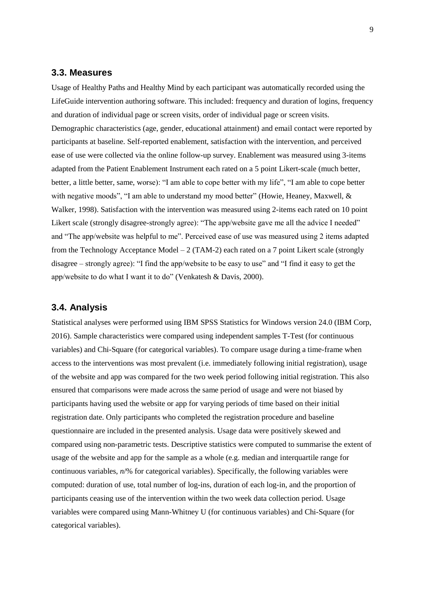## **3.3. Measures**

Usage of Healthy Paths and Healthy Mind by each participant was automatically recorded using the LifeGuide intervention authoring software. This included: frequency and duration of logins, frequency and duration of individual page or screen visits, order of individual page or screen visits. Demographic characteristics (age, gender, educational attainment) and email contact were reported by participants at baseline. Self-reported enablement, satisfaction with the intervention, and perceived ease of use were collected via the online follow-up survey. Enablement was measured using 3-items adapted from the Patient Enablement Instrument each rated on a 5 point Likert-scale (much better, better, a little better, same, worse): "I am able to cope better with my life", "I am able to cope better with negative moods", "I am able to understand my mood better" (Howie, Heaney, Maxwell, & Walker, 1998). Satisfaction with the intervention was measured using 2-items each rated on 10 point Likert scale (strongly disagree-strongly agree): "The app/website gave me all the advice I needed" and "The app/website was helpful to me". Perceived ease of use was measured using 2 items adapted from the Technology Acceptance Model – 2 (TAM-2) each rated on a 7 point Likert scale (strongly disagree – strongly agree): "I find the app/website to be easy to use" and "I find it easy to get the app/website to do what I want it to do" (Venkatesh & Davis, 2000).

### **3.4. Analysis**

Statistical analyses were performed using IBM SPSS Statistics for Windows version 24.0 (IBM Corp, 2016). Sample characteristics were compared using independent samples T-Test (for continuous variables) and Chi-Square (for categorical variables). To compare usage during a time-frame when access to the interventions was most prevalent (i.e. immediately following initial registration), usage of the website and app was compared for the two week period following initial registration. This also ensured that comparisons were made across the same period of usage and were not biased by participants having used the website or app for varying periods of time based on their initial registration date. Only participants who completed the registration procedure and baseline questionnaire are included in the presented analysis. Usage data were positively skewed and compared using non-parametric tests. Descriptive statistics were computed to summarise the extent of usage of the website and app for the sample as a whole (e.g. median and interquartile range for continuous variables, *n*/% for categorical variables). Specifically, the following variables were computed: duration of use, total number of log-ins, duration of each log-in, and the proportion of participants ceasing use of the intervention within the two week data collection period. Usage variables were compared using Mann-Whitney U (for continuous variables) and Chi-Square (for categorical variables).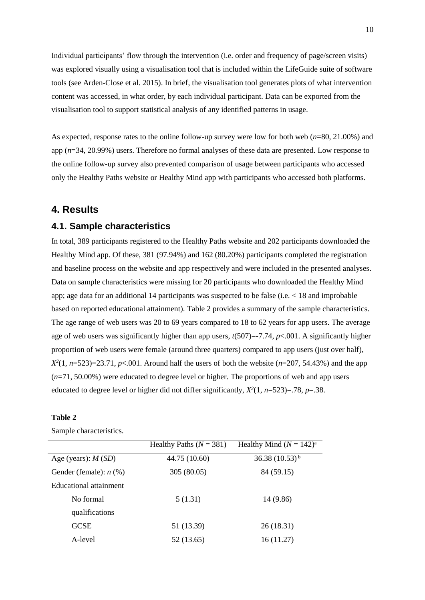Individual participants' flow through the intervention (i.e. order and frequency of page/screen visits) was explored visually using a visualisation tool that is included within the LifeGuide suite of software tools (see Arden-Close et al. 2015). In brief, the visualisation tool generates plots of what intervention content was accessed, in what order, by each individual participant. Data can be exported from the visualisation tool to support statistical analysis of any identified patterns in usage.

As expected, response rates to the online follow-up survey were low for both web (*n*=80, 21.00%) and app (*n*=34, 20.99%) users. Therefore no formal analyses of these data are presented. Low response to the online follow-up survey also prevented comparison of usage between participants who accessed only the Healthy Paths website or Healthy Mind app with participants who accessed both platforms.

# **4. Results**

#### **4.1. Sample characteristics**

In total, 389 participants registered to the Healthy Paths website and 202 participants downloaded the Healthy Mind app. Of these, 381 (97.94%) and 162 (80.20%) participants completed the registration and baseline process on the website and app respectively and were included in the presented analyses. Data on sample characteristics were missing for 20 participants who downloaded the Healthy Mind app; age data for an additional 14 participants was suspected to be false (i.e. < 18 and improbable based on reported educational attainment). Table 2 provides a summary of the sample characteristics. The age range of web users was 20 to 69 years compared to 18 to 62 years for app users. The average age of web users was significantly higher than app users,  $t(507)=7.74$ ,  $p<.001$ . A significantly higher proportion of web users were female (around three quarters) compared to app users (just over half),  $X^2(1, n=523)=23.71, p<0.001$ . Around half the users of both the website ( $n=207, 54.43\%$ ) and the app (*n*=71, 50.00%) were educated to degree level or higher. The proportions of web and app users educated to degree level or higher did not differ significantly,  $X^2(1, n=523)=0.78$ ,  $p=.38$ .

#### **Table 2**

|                          | Healthy Paths ( $N = 381$ ) | Healthy Mind $(N = 142)^a$ |
|--------------------------|-----------------------------|----------------------------|
| Age (years): $M(SD)$     | 44.75 (10.60)               | 36.38 $(10.53)^{b}$        |
| Gender (female): $n$ (%) | 305 (80.05)                 | 84 (59.15)                 |
| Educational attainment   |                             |                            |
| No formal                | 5(1.31)                     | 14 (9.86)                  |
| qualifications           |                             |                            |
| <b>GCSE</b>              | 51 (13.39)                  | 26(18.31)                  |
| A-level                  | 52 (13.65)                  | 16(11.27)                  |

Sample characteristics.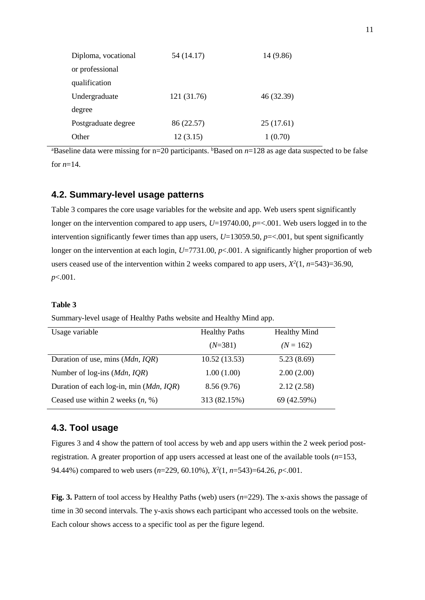| Diploma, vocational | 54 (14.17)  | 14 (9.86)  |
|---------------------|-------------|------------|
| or professional     |             |            |
| qualification       |             |            |
| Undergraduate       | 121 (31.76) | 46 (32.39) |
| degree              |             |            |
| Postgraduate degree | 86 (22.57)  | 25(17.61)  |
| Other               | 12(3.15)    | 1(0.70)    |

<sup>a</sup>Baseline data were missing for n=20 participants. <sup>b</sup>Based on *n*=128 as age data suspected to be false for  $n=14$ .

### **4.2. Summary-level usage patterns**

Table 3 compares the core usage variables for the website and app. Web users spent significantly longer on the intervention compared to app users,  $U=19740.00$ ,  $p=<.001$ . Web users logged in to the intervention significantly fewer times than app users,  $U=13059.50$ ,  $p=<.001$ , but spent significantly longer on the intervention at each login, *U*=7731.00, *p*<.001. A significantly higher proportion of web users ceased use of the intervention within 2 weeks compared to app users,  $X^2(1, n=543)=36.90$ , *p*<.001.

#### **Table 3**

Summary-level usage of Healthy Paths website and Healthy Mind app.

| Usage variable                                | <b>Healthy Paths</b> | <b>Healthy Mind</b> |
|-----------------------------------------------|----------------------|---------------------|
|                                               | $(N=381)$            | $(N = 162)$         |
| Duration of use, mins (Mdn, IQR)              | 10.52(13.53)         | 5.23(8.69)          |
| Number of log-ins ( <i>Mdn</i> , <i>IQR</i> ) | 1.00(1.00)           | 2.00(2.00)          |
| Duration of each log-in, min (Mdn, IQR)       | 8.56(9.76)           | 2.12(2.58)          |
| Ceased use within 2 weeks $(n, %)$            | 313 (82.15%)         | 69 (42.59%)         |

## **4.3. Tool usage**

Figures 3 and 4 show the pattern of tool access by web and app users within the 2 week period postregistration. A greater proportion of app users accessed at least one of the available tools (*n*=153, 94.44%) compared to web users (*n*=229, 60.10%), *X 2* (1, *n*=543)=64.26, *p*<.001.

**Fig. 3.** Pattern of tool access by Healthy Paths (web) users (*n*=229). The x-axis shows the passage of time in 30 second intervals. The y-axis shows each participant who accessed tools on the website. Each colour shows access to a specific tool as per the figure legend.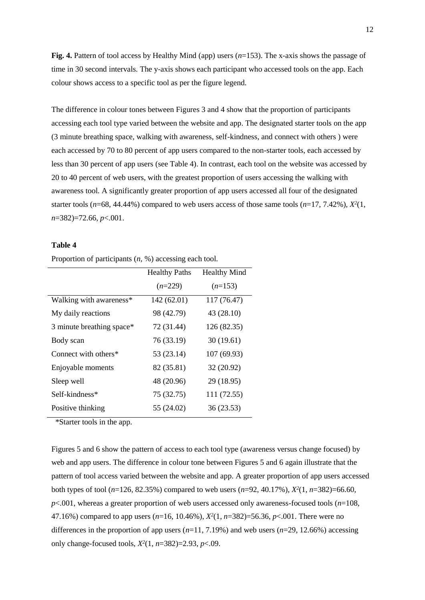**Fig. 4.** Pattern of tool access by Healthy Mind (app) users (*n*=153). The x-axis shows the passage of time in 30 second intervals. The y-axis shows each participant who accessed tools on the app. Each colour shows access to a specific tool as per the figure legend.

The difference in colour tones between Figures 3 and 4 show that the proportion of participants accessing each tool type varied between the website and app. The designated starter tools on the app (3 minute breathing space, walking with awareness, self-kindness, and connect with others ) were each accessed by 70 to 80 percent of app users compared to the non-starter tools, each accessed by less than 30 percent of app users (see Table 4). In contrast, each tool on the website was accessed by 20 to 40 percent of web users, with the greatest proportion of users accessing the walking with awareness tool. A significantly greater proportion of app users accessed all four of the designated starter tools ( $n=68$ , 44.44%) compared to web users access of those same tools ( $n=17, 7.42\%$ ),  $X^2(1, 1)$ *n*=382)=72.66, *p*<.001.

#### **Table 4**

Proportion of participants (*n*, %) accessing each tool.

|                           | <b>Healthy Paths</b> | <b>Healthy Mind</b> |
|---------------------------|----------------------|---------------------|
|                           | $(n=229)$            | $(n=153)$           |
| Walking with awareness*   | 142 (62.01)          | 117 (76.47)         |
| My daily reactions        | 98 (42.79)           | 43 (28.10)          |
| 3 minute breathing space* | 72 (31.44)           | 126 (82.35)         |
| Body scan                 | 76 (33.19)           | 30(19.61)           |
| Connect with others $*$   | 53 (23.14)           | 107(69.93)          |
| Enjoyable moments         | 82 (35.81)           | 32 (20.92)          |
| Sleep well                | 48 (20.96)           | 29 (18.95)          |
| Self-kindness*            | 75 (32.75)           | 111 (72.55)         |
| Positive thinking         | 55 (24.02)           | 36 (23.53)          |

\*Starter tools in the app.

Figures 5 and 6 show the pattern of access to each tool type (awareness versus change focused) by web and app users. The difference in colour tone between Figures 5 and 6 again illustrate that the pattern of tool access varied between the website and app. A greater proportion of app users accessed both types of tool (*n*=126, 82.35%) compared to web users (*n*=92, 40.17%), *X 2* (1, *n*=382)=66.60, *p*<.001, whereas a greater proportion of web users accessed only awareness-focused tools (*n*=108, 47.16%) compared to app users (*n*=16, 10.46%), *X 2* (1, *n*=382)=56.36, *p*<.001. There were no differences in the proportion of app users  $(n=11, 7.19\%)$  and web users  $(n=29, 12.66\%)$  accessing only change-focused tools, *X 2* (1, *n*=382)=2.93, *p*<.09.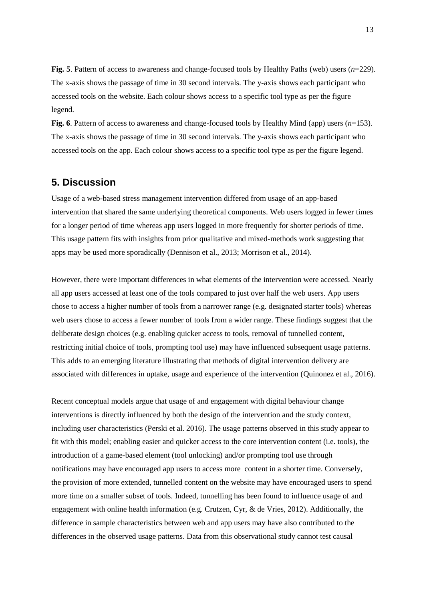**Fig. 5**. Pattern of access to awareness and change-focused tools by Healthy Paths (web) users (*n*=229). The x-axis shows the passage of time in 30 second intervals. The y-axis shows each participant who accessed tools on the website. Each colour shows access to a specific tool type as per the figure legend.

**Fig. 6**. Pattern of access to awareness and change-focused tools by Healthy Mind (app) users (*n*=153). The x-axis shows the passage of time in 30 second intervals. The y-axis shows each participant who accessed tools on the app. Each colour shows access to a specific tool type as per the figure legend.

# **5. Discussion**

Usage of a web-based stress management intervention differed from usage of an app-based intervention that shared the same underlying theoretical components. Web users logged in fewer times for a longer period of time whereas app users logged in more frequently for shorter periods of time. This usage pattern fits with insights from prior qualitative and mixed-methods work suggesting that apps may be used more sporadically (Dennison et al., 2013; Morrison et al., 2014).

However, there were important differences in what elements of the intervention were accessed. Nearly all app users accessed at least one of the tools compared to just over half the web users. App users chose to access a higher number of tools from a narrower range (e.g. designated starter tools) whereas web users chose to access a fewer number of tools from a wider range. These findings suggest that the deliberate design choices (e.g. enabling quicker access to tools, removal of tunnelled content, restricting initial choice of tools, prompting tool use) may have influenced subsequent usage patterns. This adds to an emerging literature illustrating that methods of digital intervention delivery are associated with differences in uptake, usage and experience of the intervention (Quinonez et al., 2016).

Recent conceptual models argue that usage of and engagement with digital behaviour change interventions is directly influenced by both the design of the intervention and the study context, including user characteristics (Perski et al. 2016). The usage patterns observed in this study appear to fit with this model; enabling easier and quicker access to the core intervention content (i.e. tools), the introduction of a game-based element (tool unlocking) and/or prompting tool use through notifications may have encouraged app users to access more content in a shorter time. Conversely, the provision of more extended, tunnelled content on the website may have encouraged users to spend more time on a smaller subset of tools. Indeed, tunnelling has been found to influence usage of and engagement with online health information (e.g. Crutzen, Cyr, & de Vries, 2012). Additionally, the difference in sample characteristics between web and app users may have also contributed to the differences in the observed usage patterns. Data from this observational study cannot test causal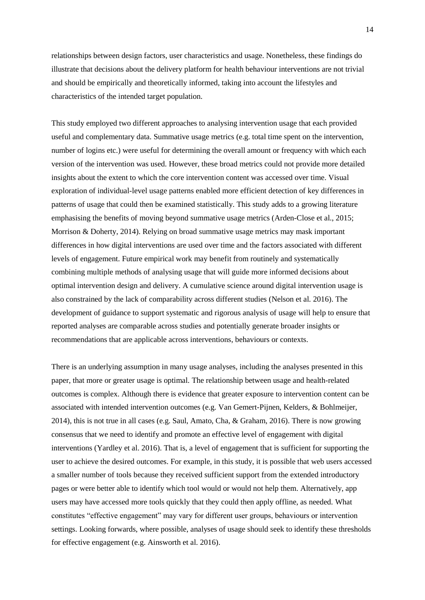relationships between design factors, user characteristics and usage. Nonetheless, these findings do illustrate that decisions about the delivery platform for health behaviour interventions are not trivial and should be empirically and theoretically informed, taking into account the lifestyles and characteristics of the intended target population.

This study employed two different approaches to analysing intervention usage that each provided useful and complementary data. Summative usage metrics (e.g. total time spent on the intervention, number of logins etc.) were useful for determining the overall amount or frequency with which each version of the intervention was used. However, these broad metrics could not provide more detailed insights about the extent to which the core intervention content was accessed over time. Visual exploration of individual-level usage patterns enabled more efficient detection of key differences in patterns of usage that could then be examined statistically. This study adds to a growing literature emphasising the benefits of moving beyond summative usage metrics (Arden-Close et al., 2015; Morrison & Doherty, 2014). Relying on broad summative usage metrics may mask important differences in how digital interventions are used over time and the factors associated with different levels of engagement. Future empirical work may benefit from routinely and systematically combining multiple methods of analysing usage that will guide more informed decisions about optimal intervention design and delivery. A cumulative science around digital intervention usage is also constrained by the lack of comparability across different studies (Nelson et al. 2016). The development of guidance to support systematic and rigorous analysis of usage will help to ensure that reported analyses are comparable across studies and potentially generate broader insights or recommendations that are applicable across interventions, behaviours or contexts.

There is an underlying assumption in many usage analyses, including the analyses presented in this paper, that more or greater usage is optimal. The relationship between usage and health-related outcomes is complex. Although there is evidence that greater exposure to intervention content can be associated with intended intervention outcomes (e.g. Van Gemert-Pijnen, Kelders, & Bohlmeijer, 2014), this is not true in all cases (e.g. Saul, Amato, Cha, & Graham, 2016). There is now growing consensus that we need to identify and promote an effective level of engagement with digital interventions (Yardley et al. 2016). That is, a level of engagement that is sufficient for supporting the user to achieve the desired outcomes. For example, in this study, it is possible that web users accessed a smaller number of tools because they received sufficient support from the extended introductory pages or were better able to identify which tool would or would not help them. Alternatively, app users may have accessed more tools quickly that they could then apply offline, as needed. What constitutes "effective engagement" may vary for different user groups, behaviours or intervention settings. Looking forwards, where possible, analyses of usage should seek to identify these thresholds for effective engagement (e.g. Ainsworth et al. 2016).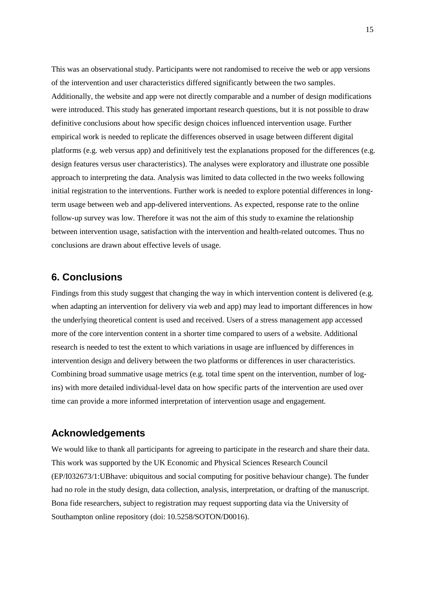This was an observational study. Participants were not randomised to receive the web or app versions of the intervention and user characteristics differed significantly between the two samples. Additionally, the website and app were not directly comparable and a number of design modifications were introduced. This study has generated important research questions, but it is not possible to draw definitive conclusions about how specific design choices influenced intervention usage. Further empirical work is needed to replicate the differences observed in usage between different digital platforms (e.g. web versus app) and definitively test the explanations proposed for the differences (e.g. design features versus user characteristics). The analyses were exploratory and illustrate one possible approach to interpreting the data. Analysis was limited to data collected in the two weeks following initial registration to the interventions. Further work is needed to explore potential differences in longterm usage between web and app-delivered interventions. As expected, response rate to the online follow-up survey was low. Therefore it was not the aim of this study to examine the relationship between intervention usage, satisfaction with the intervention and health-related outcomes. Thus no conclusions are drawn about effective levels of usage.

# **6. Conclusions**

Findings from this study suggest that changing the way in which intervention content is delivered (e.g. when adapting an intervention for delivery via web and app) may lead to important differences in how the underlying theoretical content is used and received. Users of a stress management app accessed more of the core intervention content in a shorter time compared to users of a website. Additional research is needed to test the extent to which variations in usage are influenced by differences in intervention design and delivery between the two platforms or differences in user characteristics. Combining broad summative usage metrics (e.g. total time spent on the intervention, number of logins) with more detailed individual-level data on how specific parts of the intervention are used over time can provide a more informed interpretation of intervention usage and engagement.

# **Acknowledgements**

We would like to thank all participants for agreeing to participate in the research and share their data. This work was supported by the UK Economic and Physical Sciences Research Council (EP/I032673/1:UBhave: ubiquitous and social computing for positive behaviour change). The funder had no role in the study design, data collection, analysis, interpretation, or drafting of the manuscript. Bona fide researchers, subject to registration may request supporting data via the University of Southampton online repository (doi: 10.5258/SOTON/D0016).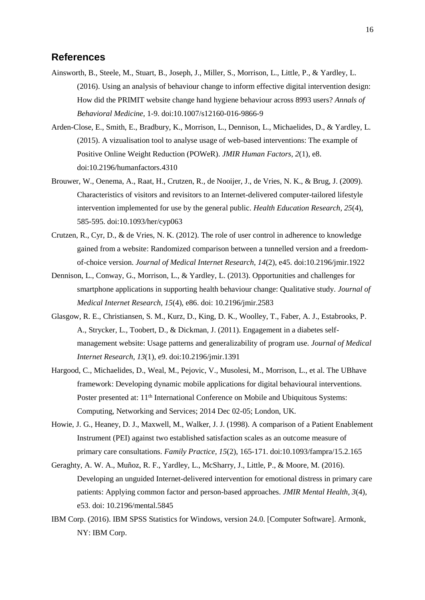## **References**

- Ainsworth, B., Steele, M., Stuart, B., Joseph, J., Miller, S., Morrison, L., Little, P., & Yardley, L. (2016). Using an analysis of behaviour change to inform effective digital intervention design: How did the PRIMIT website change hand hygiene behaviour across 8993 users? *Annals of Behavioral Medicine,* 1-9. doi:10.1007/s12160-016-9866-9
- Arden-Close, E., Smith, E., Bradbury, K., Morrison, L., Dennison, L., Michaelides, D., & Yardley, L. (2015). A vizualisation tool to analyse usage of web-based interventions: The example of Positive Online Weight Reduction (POWeR). *JMIR Human Factors, 2*(1), e8. doi:10.2196/humanfactors.4310
- Brouwer, W., Oenema, A., Raat, H., Crutzen, R., de Nooijer, J., de Vries, N. K., & Brug, J. (2009). Characteristics of visitors and revisitors to an Internet-delivered computer-tailored lifestyle intervention implemented for use by the general public. *Health Education Research, 25*(4), 585-595. doi:10.1093/her/cyp063
- Crutzen, R., Cyr, D., & de Vries, N. K. (2012). The role of user control in adherence to knowledge gained from a website: Randomized comparison between a tunnelled version and a freedomof-choice version. *Journal of Medical Internet Research, 14*(2), e45. doi:10.2196/jmir.1922
- Dennison, L., Conway, G., Morrison, L., & Yardley, L. (2013). Opportunities and challenges for smartphone applications in supporting health behaviour change: Qualitative study. *Journal of Medical Internet Research, 15*(4), e86. doi: 10.2196/jmir.2583
- Glasgow, R. E., Christiansen, S. M., Kurz, D., King, D. K., Woolley, T., Faber, A. J., Estabrooks, P. A., Strycker, L., Toobert, D., & Dickman, J. (2011). Engagement in a diabetes selfmanagement website: Usage patterns and generalizability of program use. *Journal of Medical Internet Research, 13*(1), e9. doi:10.2196/jmir.1391
- Hargood, C., Michaelides, D., Weal, M., Pejovic, V., Musolesi, M., Morrison, L., et al. The UBhave framework: Developing dynamic mobile applications for digital behavioural interventions. Poster presented at: 11<sup>th</sup> International Conference on Mobile and Ubiquitous Systems: Computing, Networking and Services; 2014 Dec 02-05; London, UK.
- Howie, J. G., Heaney, D. J., Maxwell, M., Walker, J. J. (1998). A comparison of a Patient Enablement Instrument (PEI) against two established satisfaction scales as an outcome measure of primary care consultations. *Family Practice, 15*(2), 165-171. doi:10.1093/fampra/15.2.165
- Geraghty, A. W. A., Muñoz, R. F., Yardley, L., McSharry, J., Little, P., & Moore, M. (2016). Developing an unguided Internet-delivered intervention for emotional distress in primary care patients: Applying common factor and person-based approaches. *JMIR Mental Health, 3*(4), e53. doi: 10.2196/mental.5845
- IBM Corp. (2016). IBM SPSS Statistics for Windows, version 24.0. [Computer Software]. Armonk, NY: IBM Corp.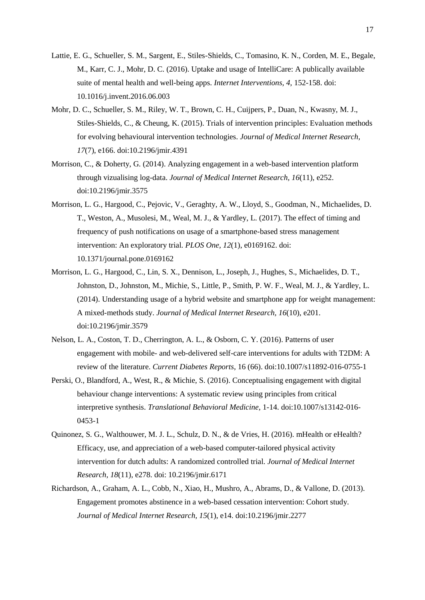- Lattie, E. G., Schueller, S. M., Sargent, E., Stiles-Shields, C., Tomasino, K. N., Corden, M. E., Begale, M., Karr, C. J., Mohr, D. C. (2016). Uptake and usage of IntelliCare: A publically available suite of mental health and well-being apps. *Internet Interventions, 4,* 152-158. doi: 10.1016/j.invent.2016.06.003
- Mohr, D. C., Schueller, S. M., Riley, W. T., Brown, C. H., Cuijpers, P., Duan, N., Kwasny, M. J., Stiles-Shields, C., & Cheung, K. (2015). Trials of intervention principles: Evaluation methods for evolving behavioural intervention technologies. *Journal of Medical Internet Research, 17*(7), e166. doi:10.2196/jmir.4391
- Morrison, C., & Doherty, G. (2014). Analyzing engagement in a web-based intervention platform through vizualising log-data. *Journal of Medical Internet Research, 16*(11), e252. doi:10.2196/jmir.3575
- Morrison, L. G., Hargood, C., Pejovic, V., Geraghty, A. W., Lloyd, S., Goodman, N., Michaelides, D. T., Weston, A., Musolesi, M., Weal, M. J., & Yardley, L. (2017). The effect of timing and frequency of push notifications on usage of a smartphone-based stress management intervention: An exploratory trial. *PLOS One, 12*(1), e0169162. doi: 10.1371/journal.pone.0169162
- Morrison, L. G., Hargood, C., Lin, S. X., Dennison, L., Joseph, J., Hughes, S., Michaelides, D. T., Johnston, D., Johnston, M., Michie, S., Little, P., Smith, P. W. F., Weal, M. J., & Yardley, L. (2014). Understanding usage of a hybrid website and smartphone app for weight management: A mixed-methods study. *Journal of Medical Internet Research, 16*(10), e201. doi:10.2196/jmir.3579
- Nelson, L. A., Coston, T. D., Cherrington, A. L., & Osborn, C. Y. (2016). Patterns of user engagement with mobile- and web-delivered self-care interventions for adults with T2DM: A review of the literature. *Current Diabetes Reports*, 16 (66). doi:10.1007/s11892-016-0755-1
- Perski, O., Blandford, A., West, R., & Michie, S. (2016). Conceptualising engagement with digital behaviour change interventions: A systematic review using principles from critical interpretive synthesis. *Translational Behavioral Medicine,* 1-14. doi:10.1007/s13142-016- 0453-1
- Quinonez, S. G., Walthouwer, M. J. L., Schulz, D. N., & de Vries, H. (2016). mHealth or eHealth? Efficacy, use, and appreciation of a web-based computer-tailored physical activity intervention for dutch adults: A randomized controlled trial. *Journal of Medical Internet Research, 18*(11), e278. doi: 10.2196/jmir.6171
- Richardson, A., Graham, A. L., Cobb, N., Xiao, H., Mushro, A., Abrams, D., & Vallone, D. (2013). Engagement promotes abstinence in a web-based cessation intervention: Cohort study. *Journal of Medical Internet Research, 15*(1), e14. doi:10.2196/jmir.2277